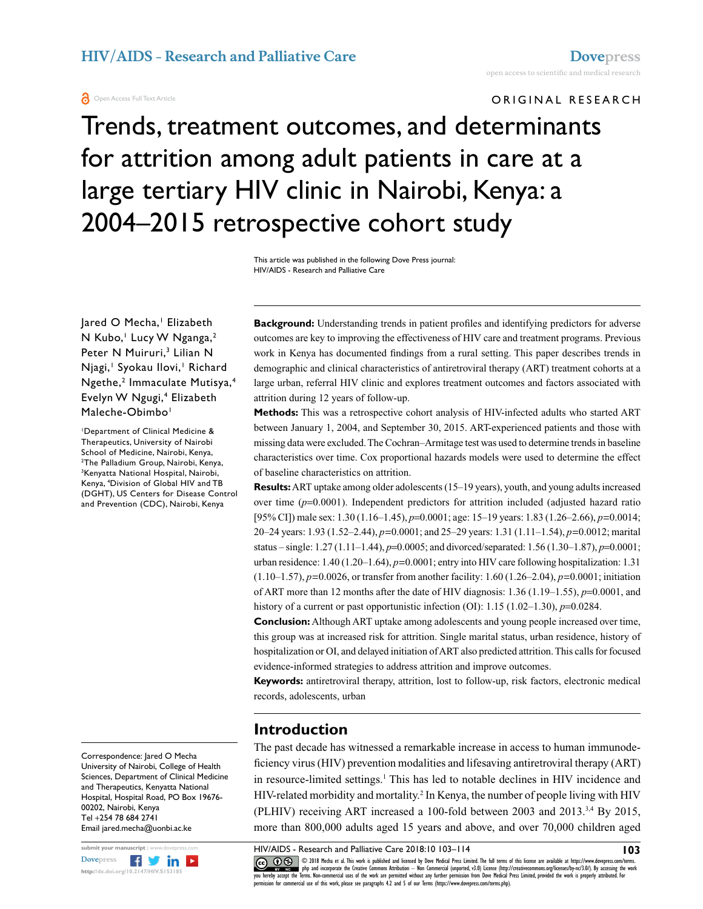ORIGINAL RESEARCH

# Trends, treatment outcomes, and determinants for attrition among adult patients in care at a large tertiary HIV clinic in Nairobi, Kenya: a 2004–2015 retrospective cohort study

This article was published in the following Dove Press journal: HIV/AIDS - Research and Palliative Care

Jared O Mecha,' Elizabeth N Kubo,<sup>1</sup> Lucy W Nganga,<sup>2</sup> Peter N Muiruri,<sup>3</sup> Lilian N Njagi, Syokau Ilovi, Richard Ngethe,<sup>2</sup> Immaculate Mutisya,<sup>4</sup> Evelyn W Ngugi,<sup>4</sup> Elizabeth Maleche-Obimbo<sup>1</sup>

1 Department of Clinical Medicine & Therapeutics, University of Nairobi School of Medicine, Nairobi, Kenya, 2 The Palladium Group, Nairobi, Kenya, 3 Kenyatta National Hospital, Nairobi, Kenya, 4 Division of Global HIV and TB (DGHT), US Centers for Disease Control and Prevention (CDC), Nairobi, Kenya

Correspondence: Jared O Mecha University of Nairobi, College of Health Sciences, Department of Clinical Medicine and Therapeutics, Kenyatta National Hospital, Hospital Road, PO Box 19676- 00202, Nairobi, Kenya Tel +254 78 684 2741 Email jared.mecha@uonbi.ac.ke



**Background:** Understanding trends in patient profiles and identifying predictors for adverse outcomes are key to improving the effectiveness of HIV care and treatment programs. Previous work in Kenya has documented findings from a rural setting. This paper describes trends in demographic and clinical characteristics of antiretroviral therapy (ART) treatment cohorts at a large urban, referral HIV clinic and explores treatment outcomes and factors associated with attrition during 12 years of follow-up.

**Methods:** This was a retrospective cohort analysis of HIV-infected adults who started ART between January 1, 2004, and September 30, 2015. ART-experienced patients and those with missing data were excluded. The Cochran–Armitage test was used to determine trends in baseline characteristics over time. Cox proportional hazards models were used to determine the effect of baseline characteristics on attrition.

**Results:** ART uptake among older adolescents (15–19 years), youth, and young adults increased over time (*p*=0.0001). Independent predictors for attrition included (adjusted hazard ratio [95% CI]) male sex: 1.30 (1.16–1.45), *p*=0.0001; age: 15–19 years: 1.83 (1.26–2.66), *p=*0.0014; 20–24 years: 1.93 (1.52–2.44), *p=*0.0001; and 25–29 years: 1.31 (1.11–1.54), *p=*0.0012; marital status – single: 1.27 (1.11–1.44), *p*=0.0005; and divorced/separated: 1.56 (1.30–1.87), *p*=0.0001; urban residence: 1.40 (1.20–1.64), *p=*0.0001; entry into HIV care following hospitalization: 1.31 (1.10–1.57), *p=*0.0026, or transfer from another facility: 1.60 (1.26–2.04), *p=*0.0001; initiation of ART more than 12 months after the date of HIV diagnosis: 1.36 (1.19–1.55), *p*=0.0001, and history of a current or past opportunistic infection (OI): 1.15 (1.02–1.30), *p*=0.0284.

**Conclusion:** Although ART uptake among adolescents and young people increased over time, this group was at increased risk for attrition. Single marital status, urban residence, history of hospitalization or OI, and delayed initiation of ART also predicted attrition. This calls for focused evidence-informed strategies to address attrition and improve outcomes.

**Keywords:** antiretroviral therapy, attrition, lost to follow-up, risk factors, electronic medical records, adolescents, urban

# **Introduction**

The past decade has witnessed a remarkable increase in access to human immunodeficiency virus (HIV) prevention modalities and lifesaving antiretroviral therapy (ART) in resource-limited settings.<sup>1</sup> This has led to notable declines in HIV incidence and HIV-related morbidity and mortality.<sup>2</sup> In Kenya, the number of people living with HIV (PLHIV) receiving ART increased a 100-fold between 2003 and 2013.3,4 By 2015, more than 800,000 adults aged 15 years and above, and over 70,000 children aged

CO 18 Mecha et al. This work is published and licensed by Dove Medical Press Limited. The full terms of this license are available at https://www.dovepress.com/terms.<br> [you hereby accept the T](http://www.dovepress.com/permissions.php)erms. Non-commercial uses of th permission for commercial use of this work, please see paragraphs 4.2 and 5 of our Terms (https://www.dovepress.com/terms.php).

**103**

HIV/AIDS - Research and Palliative Care 2018:10 103–114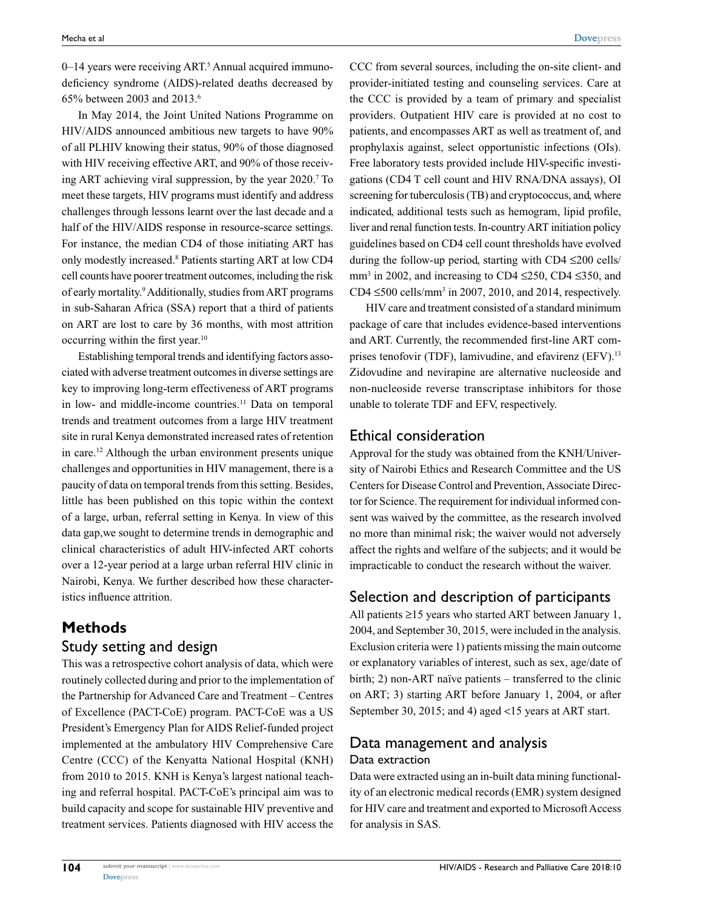0–14 years were receiving ART.<sup>5</sup> Annual acquired immunodeficiency syndrome (AIDS)-related deaths decreased by 65% between 2003 and 2013.6

In May 2014, the Joint United Nations Programme on HIV/AIDS announced ambitious new targets to have 90% of all PLHIV knowing their status, 90% of those diagnosed with HIV receiving effective ART, and 90% of those receiving ART achieving viral suppression, by the year 2020.7 To meet these targets, HIV programs must identify and address challenges through lessons learnt over the last decade and a half of the HIV/AIDS response in resource-scarce settings. For instance, the median CD4 of those initiating ART has only modestly increased.8 Patients starting ART at low CD4 cell counts have poorer treatment outcomes, including the risk of early mortality.<sup>9</sup> Additionally, studies from ART programs in sub-Saharan Africa (SSA) report that a third of patients on ART are lost to care by 36 months, with most attrition occurring within the first year.10

Establishing temporal trends and identifying factors associated with adverse treatment outcomes in diverse settings are key to improving long-term effectiveness of ART programs in low- and middle-income countries.<sup>11</sup> Data on temporal trends and treatment outcomes from a large HIV treatment site in rural Kenya demonstrated increased rates of retention in care.12 Although the urban environment presents unique challenges and opportunities in HIV management, there is a paucity of data on temporal trends from this setting. Besides, little has been published on this topic within the context of a large, urban, referral setting in Kenya. In view of this data gap,we sought to determine trends in demographic and clinical characteristics of adult HIV-infected ART cohorts over a 12-year period at a large urban referral HIV clinic in Nairobi, Kenya. We further described how these characteristics influence attrition.

### **Methods** Study setting and design

This was a retrospective cohort analysis of data, which were routinely collected during and prior to the implementation of the Partnership for Advanced Care and Treatment – Centres of Excellence (PACT-CoE) program. PACT-CoE was a US President's Emergency Plan for AIDS Relief-funded project implemented at the ambulatory HIV Comprehensive Care Centre (CCC) of the Kenyatta National Hospital (KNH) from 2010 to 2015. KNH is Kenya's largest national teaching and referral hospital. PACT-CoE's principal aim was to build capacity and scope for sustainable HIV preventive and treatment services. Patients diagnosed with HIV access the CCC from several sources, including the on-site client- and provider-initiated testing and counseling services. Care at the CCC is provided by a team of primary and specialist providers. Outpatient HIV care is provided at no cost to patients, and encompasses ART as well as treatment of, and prophylaxis against, select opportunistic infections (OIs). Free laboratory tests provided include HIV-specific investigations (CD4 T cell count and HIV RNA/DNA assays), OI screening for tuberculosis (TB) and cryptococcus, and, where indicated, additional tests such as hemogram, lipid profile, liver and renal function tests. In-country ART initiation policy guidelines based on CD4 cell count thresholds have evolved during the follow-up period, starting with CD4 ≤200 cells/ mm<sup>3</sup> in 2002, and increasing to CD4  $\leq$ 250, CD4  $\leq$ 350, and CD4  $\leq$ 500 cells/mm<sup>3</sup> in 2007, 2010, and 2014, respectively.

HIV care and treatment consisted of a standard minimum package of care that includes evidence-based interventions and ART. Currently, the recommended first-line ART comprises tenofovir (TDF), lamivudine, and efavirenz (EFV).<sup>13</sup> Zidovudine and nevirapine are alternative nucleoside and non-nucleoside reverse transcriptase inhibitors for those unable to tolerate TDF and EFV, respectively.

#### Ethical consideration

Approval for the study was obtained from the KNH/University of Nairobi Ethics and Research Committee and the US Centers for Disease Control and Prevention, Associate Director for Science. The requirement for individual informed consent was waived by the committee, as the research involved no more than minimal risk; the waiver would not adversely affect the rights and welfare of the subjects; and it would be impracticable to conduct the research without the waiver.

# Selection and description of participants

All patients ≥15 years who started ART between January 1, 2004, and September 30, 2015, were included in the analysis. Exclusion criteria were 1) patients missing the main outcome or explanatory variables of interest, such as sex, age/date of birth; 2) non-ART naïve patients – transferred to the clinic on ART; 3) starting ART before January 1, 2004, or after September 30, 2015; and 4) aged <15 years at ART start.

# Data management and analysis Data extraction

Data were extracted using an in-built data mining functionality of an electronic medical records (EMR) system designed for HIV care and treatment and exported to Microsoft Access for analysis in SAS.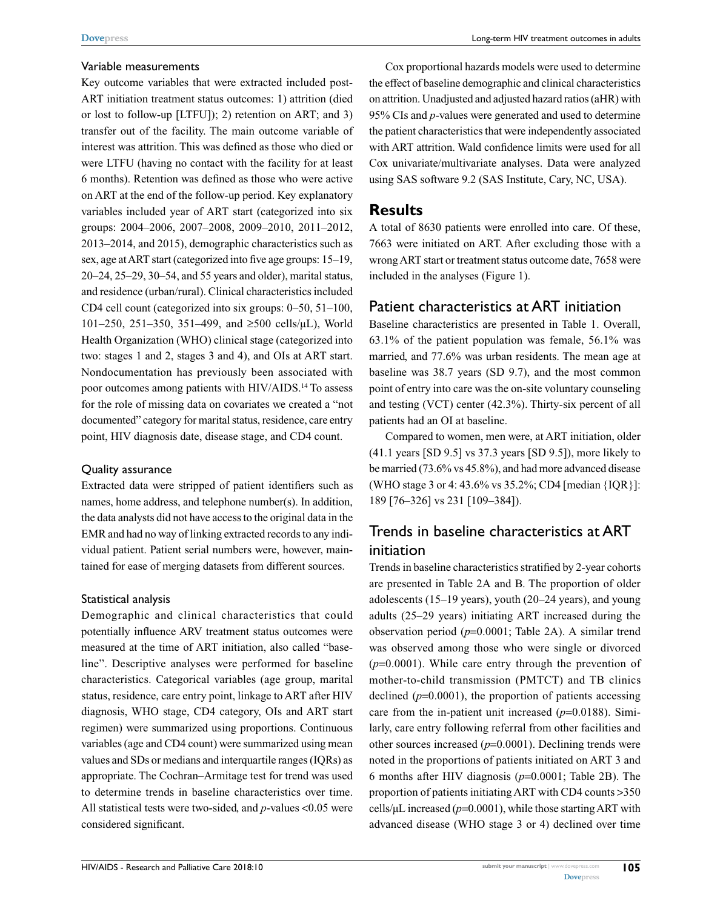#### Variable measurements

Key outcome variables that were extracted included post-ART initiation treatment status outcomes: 1) attrition (died or lost to follow-up [LTFU]); 2) retention on ART; and 3) transfer out of the facility. The main outcome variable of interest was attrition. This was defined as those who died or were LTFU (having no contact with the facility for at least 6 months). Retention was defined as those who were active on ART at the end of the follow-up period. Key explanatory variables included year of ART start (categorized into six groups: 2004–2006, 2007–2008, 2009–2010, 2011–2012, 2013–2014, and 2015), demographic characteristics such as sex, age at ART start (categorized into five age groups: 15–19, 20–24, 25–29, 30–54, and 55 years and older), marital status, and residence (urban/rural). Clinical characteristics included CD4 cell count (categorized into six groups: 0–50, 51–100, 101–250, 251–350, 351–499, and ≥500 cells/µL), World Health Organization (WHO) clinical stage (categorized into two: stages 1 and 2, stages 3 and 4), and OIs at ART start. Nondocumentation has previously been associated with poor outcomes among patients with HIV/AIDS.14 To assess for the role of missing data on covariates we created a "not documented" category for marital status, residence, care entry point, HIV diagnosis date, disease stage, and CD4 count.

#### Quality assurance

Extracted data were stripped of patient identifiers such as names, home address, and telephone number(s). In addition, the data analysts did not have access to the original data in the EMR and had no way of linking extracted records to any individual patient. Patient serial numbers were, however, maintained for ease of merging datasets from different sources.

#### Statistical analysis

Demographic and clinical characteristics that could potentially influence ARV treatment status outcomes were measured at the time of ART initiation, also called "baseline". Descriptive analyses were performed for baseline characteristics. Categorical variables (age group, marital status, residence, care entry point, linkage to ART after HIV diagnosis, WHO stage, CD4 category, OIs and ART start regimen) were summarized using proportions. Continuous variables (age and CD4 count) were summarized using mean values and SDs or medians and interquartile ranges (IQRs) as appropriate. The Cochran–Armitage test for trend was used to determine trends in baseline characteristics over time. All statistical tests were two-sided, and *p*-values <0.05 were considered significant.

Cox proportional hazards models were used to determine the effect of baseline demographic and clinical characteristics on attrition. Unadjusted and adjusted hazard ratios (aHR) with 95% CIs and *p*-values were generated and used to determine the patient characteristics that were independently associated with ART attrition. Wald confidence limits were used for all Cox univariate/multivariate analyses. Data were analyzed using SAS software 9.2 (SAS Institute, Cary, NC, USA).

#### **Results**

A total of 8630 patients were enrolled into care. Of these, 7663 were initiated on ART. After excluding those with a wrong ART start or treatment status outcome date, 7658 were included in the analyses (Figure 1).

#### Patient characteristics at ART initiation

Baseline characteristics are presented in Table 1. Overall, 63.1% of the patient population was female, 56.1% was married, and 77.6% was urban residents. The mean age at baseline was 38.7 years (SD 9.7), and the most common point of entry into care was the on-site voluntary counseling and testing (VCT) center (42.3%). Thirty-six percent of all patients had an OI at baseline.

Compared to women, men were, at ART initiation, older (41.1 years [SD 9.5] vs 37.3 years [SD 9.5]), more likely to be married (73.6% vs 45.8%), and had more advanced disease (WHO stage 3 or 4: 43.6% vs 35.2%; CD4 [median {IQR}]: 189 [76–326] vs 231 [109–384]).

# Trends in baseline characteristics at ART initiation

Trends in baseline characteristics stratified by 2-year cohorts are presented in Table 2A and B. The proportion of older adolescents (15–19 years), youth (20–24 years), and young adults (25–29 years) initiating ART increased during the observation period (*p*=0.0001; Table 2A). A similar trend was observed among those who were single or divorced (*p*=0.0001). While care entry through the prevention of mother-to-child transmission (PMTCT) and TB clinics declined  $(p=0.0001)$ , the proportion of patients accessing care from the in-patient unit increased (*p*=0.0188). Similarly, care entry following referral from other facilities and other sources increased  $(p=0.0001)$ . Declining trends were noted in the proportions of patients initiated on ART 3 and 6 months after HIV diagnosis (*p*=0.0001; Table 2B). The proportion of patients initiating ART with CD4 counts >350 cells/µL increased (*p*=0.0001), while those starting ART with advanced disease (WHO stage 3 or 4) declined over time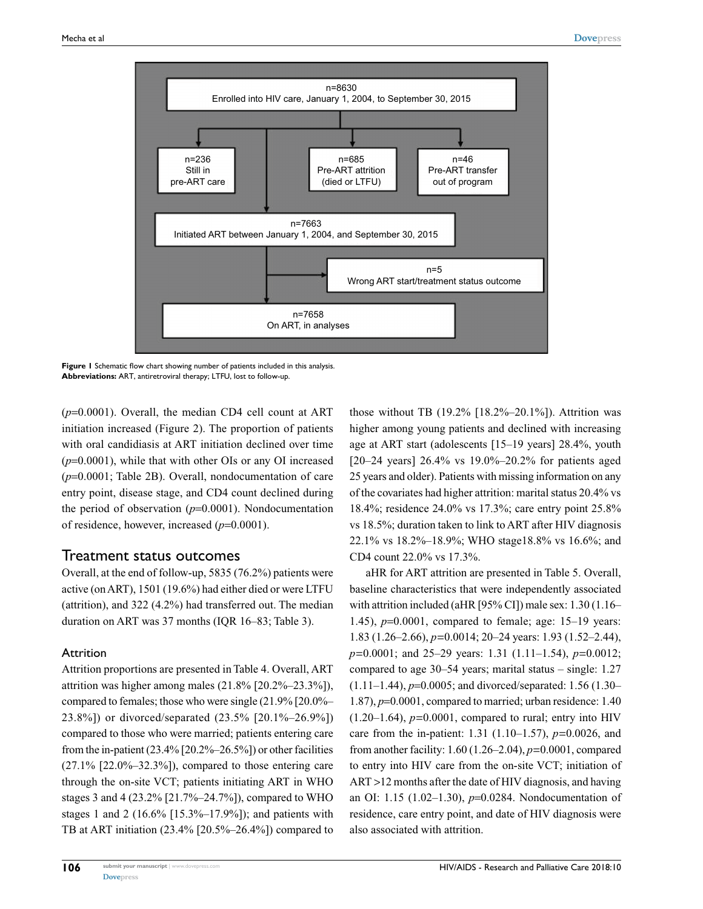

**Figure 1** Schematic flow chart showing number of patients included in this analysis. **Abbreviations:** ART, antiretroviral therapy; LTFU, lost to follow-up.

(*p*=0.0001). Overall, the median CD4 cell count at ART initiation increased (Figure 2). The proportion of patients with oral candidiasis at ART initiation declined over time (*p*=0.0001), while that with other OIs or any OI increased (*p*=0.0001; Table 2B). Overall, nondocumentation of care entry point, disease stage, and CD4 count declined during the period of observation (*p*=0.0001). Nondocumentation of residence, however, increased (*p*=0.0001).

#### Treatment status outcomes

Overall, at the end of follow-up, 5835 (76.2%) patients were active (on ART), 1501 (19.6%) had either died or were LTFU (attrition), and 322 (4.2%) had transferred out. The median duration on ART was 37 months (IQR 16–83; Table 3).

#### Attrition

Attrition proportions are presented in Table 4. Overall, ART attrition was higher among males (21.8% [20.2%–23.3%]), compared to females; those who were single (21.9% [20.0%– 23.8%]) or divorced/separated (23.5% [20.1%–26.9%]) compared to those who were married; patients entering care from the in-patient  $(23.4\%$   $[20.2\% - 26.5\%]$  or other facilities  $(27.1\%$  [22.0%–32.3%]), compared to those entering care through the on-site VCT; patients initiating ART in WHO stages 3 and 4 (23.2% [21.7%–24.7%]), compared to WHO stages 1 and 2 (16.6% [15.3%–17.9%]); and patients with TB at ART initiation (23.4% [20.5%–26.4%]) compared to those without TB  $(19.2\%$   $[18.2\% - 20.1\%]$ ). Attrition was higher among young patients and declined with increasing age at ART start (adolescents [15–19 years] 28.4%, youth [20–24 years] 26.4% vs 19.0%–20.2% for patients aged 25 years and older). Patients with missing information on any of the covariates had higher attrition: marital status 20.4% vs 18.4%; residence 24.0% vs 17.3%; care entry point 25.8% vs 18.5%; duration taken to link to ART after HIV diagnosis 22.1% vs 18.2%–18.9%; WHO stage18.8% vs 16.6%; and CD4 count 22.0% vs 17.3%.

aHR for ART attrition are presented in Table 5. Overall, baseline characteristics that were independently associated with attrition included (aHR [95% CI]) male sex: 1.30 (1.16– 1.45), *p*=0.0001, compared to female; age: 15–19 years: 1.83 (1.26–2.66), *p=*0.0014; 20–24 years: 1.93 (1.52–2.44), *p=*0.0001; and 25–29 years: 1.31 (1.11–1.54), *p=*0.0012; compared to age 30–54 years; marital status – single: 1.27 (1.11–1.44), *p*=0.0005; and divorced/separated: 1.56 (1.30– 1.87), *p*=0.0001, compared to married; urban residence: 1.40  $(1.20-1.64)$ ,  $p=0.0001$ , compared to rural; entry into HIV care from the in-patient: 1.31 (1.10–1.57), *p=*0.0026, and from another facility: 1.60 (1.26–2.04), *p=*0.0001, compared to entry into HIV care from the on-site VCT; initiation of ART >12 months after the date of HIV diagnosis, and having an OI: 1.15 (1.02–1.30), *p*=0.0284. Nondocumentation of residence, care entry point, and date of HIV diagnosis were also associated with attrition.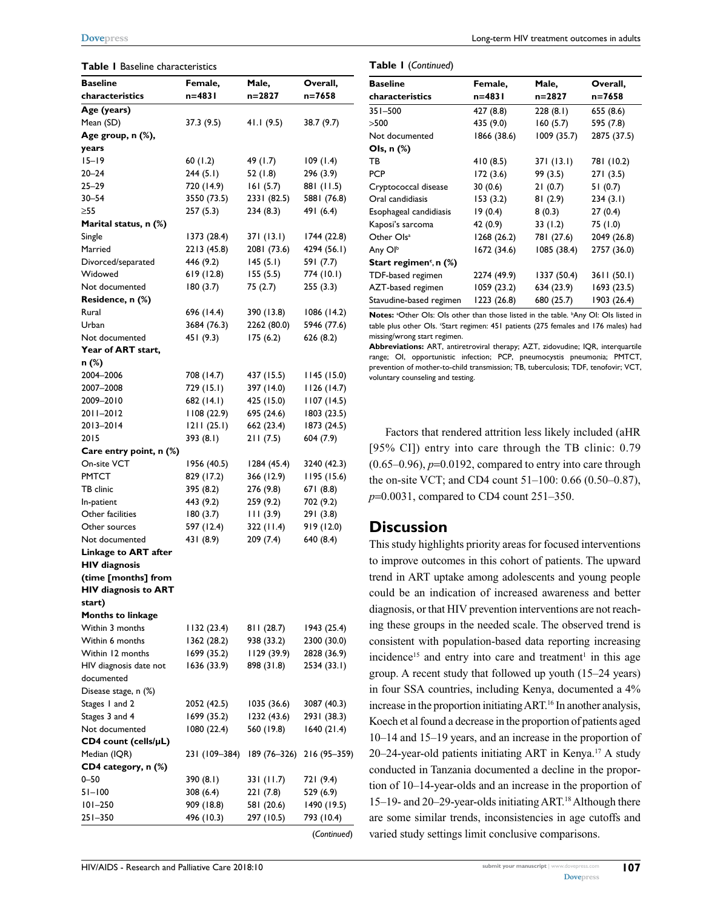#### **Table 1** Baseline characteristics

| <b>Baseline</b>          | Female,       | Male,       | Overall,                  |
|--------------------------|---------------|-------------|---------------------------|
| characteristics          | $n = 4831$    | $n = 2827$  | n=7658                    |
| Age (years)              |               |             |                           |
| Mean (SD)                | 37.3 (9.5)    | 41.1(9.5)   | 38.7 (9.7)                |
| Age group, n (%),        |               |             |                           |
| years                    |               |             |                           |
| $15 - 19$                | 60(1.2)       | 49 (1.7)    | 109(1.4)                  |
| $20 - 24$                | 244(5.1)      | 52(1.8)     | 296 (3.9)                 |
| 25–29                    | 720 (14.9)    | 161(5.7)    | 881 (11.5)                |
| $30 - 54$                | 3550 (73.5)   | 2331 (82.5) | 5881 (76.8)               |
| $\geq 55$                | 257(5.3)      | 234(8.3)    | 491 (6.4)                 |
| Marital status, n (%)    |               |             |                           |
| Single                   | 1373 (28.4)   | 371(13.1)   | 1744 (22.8)               |
| Married                  | 2213 (45.8)   | 2081 (73.6) | 4294 (56.1)               |
| Divorced/separated       | 446 (9.2)     | 145(5.1)    | 591 (7.7)                 |
| Widowed                  | 619 (12.8)    | 155(5.5)    | 774 (10.1)                |
| Not documented           | 180(3.7)      | 75 (2.7)    | 255(3.3)                  |
| Residence, n (%)         |               |             |                           |
| Rural                    | 696 (14.4)    | 390 (13.8)  | 1086 (14.2)               |
| Urban                    | 3684 (76.3)   | 2262 (80.0) | 5946 (77.6)               |
| Not documented           | 451 (9.3)     | 175(6.2)    | 626 (8.2)                 |
| Year of ART start,       |               |             |                           |
| n (%)<br>2004-2006       | 708 (14.7)    | 437 (15.5)  | 1145 (15.0)               |
| 2007-2008                | 729 (15.1)    | 397 (14.0)  | 1126 (14.7)               |
| 2009-2010                | 682 (14.1)    | 425 (15.0)  | 1107(14.5)                |
| 2011-2012                | 1108(22.9)    | 695 (24.6)  | 1803 (23.5)               |
| 2013-2014                | 1211(25.1)    | 662 (23.4)  | 1873 (24.5)               |
| 2015                     | 393 (8.1)     | 211(7.5)    | 604 (7.9)                 |
| Care entry point, n (%)  |               |             |                           |
| On-site VCT              | 1956 (40.5)   | 1284 (45.4) | 3240 (42.3)               |
| PMTCT                    | 829 (17.2)    | 366 (12.9)  | 1195(15.6)                |
| TB clinic                | 395 (8.2)     | 276 (9.8)   | 671 (8.8)                 |
| In-patient               | 443 (9.2)     | 259 (9.2)   | 702 (9.2)                 |
| Other facilities         | 180(3.7)      | 111(3.9)    | 291(3.8)                  |
| Other sources            | 597 (12.4)    | 322 (11.4)  | 919 (12.0)                |
| Not documented           | 431 (8.9)     | 209(7.4)    | 640 (8.4)                 |
| Linkage to ART after     |               |             |                           |
| <b>HIV</b> diagnosis     |               |             |                           |
| (time [months] from      |               |             |                           |
| HIV diagnosis to ART     |               |             |                           |
| start)                   |               |             |                           |
| <b>Months to linkage</b> |               |             |                           |
| Within 3 months          | 132 (23.4)    | 811 (28.7)  | 1943 (25.4)               |
| Within 6 months          | 1362 (28.2)   | 938 (33.2)  | 2300 (30.0)               |
| Within 12 months         | 1699 (35.2)   | 1129(39.9)  | 2828 (36.9)               |
| HIV diagnosis date not   | 1636 (33.9)   | 898 (31.8)  | 2534 (33.I)               |
| documented               |               |             |                           |
| Disease stage, n (%)     |               |             |                           |
| Stages I and 2           | 2052 (42.5)   | 1035 (36.6) | 3087 (40.3)               |
| Stages 3 and 4           | 1699 (35.2)   | 1232 (43.6) | 2931 (38.3)               |
| Not documented           | 1080(22.4)    | 560 (19.8)  | 1640(21.4)                |
| CD4 count (cells/µL)     |               |             |                           |
| Median (IQR)             | 231 (109-384) |             | 189 (76-326) 216 (95-359) |
| CD4 category, n (%)      |               |             |                           |
| $0 - 50$                 | 390 (8.1)     | 331 (11.7)  | 721 (9.4)                 |
| $51 - 100$               | 308(6.4)      | 221(7.8)    | 529 (6.9)                 |
| 101-250                  | 909 (18.8)    | 581 (20.6)  | 1490 (19.5)               |
| 251-350                  | 496 (10.3)    | 297 (10.5)  | 793 (10.4)                |
|                          |               |             | (Continued)               |

| <b>Baseline</b>                    | Female,     | Male,       | Overall,    |
|------------------------------------|-------------|-------------|-------------|
| characteristics                    | n=483 l     | n=2827      | n=7658      |
| 351-500                            | 427 (8.8)   | 228(8.1)    | 655 (8.6)   |
| >500                               | 435 (9.0)   | 160(5.7)    | 595 (7.8)   |
| Not documented                     | 1866 (38.6) | 1009 (35.7) | 2875 (37.5) |
| Ols, n (%)                         |             |             |             |
| ΤВ                                 | 410(8.5)    | 371 (13.1)  | 781 (10.2)  |
| <b>PCP</b>                         | 172 (3.6)   | 99 (3.5)    | 271 (3.5)   |
| Cryptococcal disease               | 30(0.6)     | 21(0.7)     | 51(0.7)     |
| Oral candidiasis                   | 153(3.2)    | 81(2.9)     | 234(3.1)    |
| Esophageal candidiasis             | 19(0.4)     | 8(0.3)      | 27(0.4)     |
| Kaposi's sarcoma                   | 42 (0.9)    | 33(1.2)     | 75 (1.0)    |
| Other Ols <sup>a</sup>             | 1268 (26.2) | 781 (27.6)  | 2049 (26.8) |
| Any Ol <sup>b</sup>                | 1672 (34.6) | 1085 (38.4) | 2757 (36.0) |
| Start regimen <sup>c</sup> , n (%) |             |             |             |
| TDF-based regimen                  | 2274 (49.9) | 1337 (50.4) | 3611 (50.1) |
| AZT-based regimen                  | 1059 (23.2) | 634 (23.9)  | 1693 (23.5) |
| Stavudine-based regimen            | 1223 (26.8) | 680 (25.7)  | 1903 (26.4) |

Notes: <sup>a</sup>Other Ols: Ols other than those listed in the table. **bAny OI: OIs listed in** table plus other Ols. 'Start regimen: 451 patients (275 females and 176 males) had missing/wrong start regimen.

**Abbreviations:** ART, antiretroviral therapy; AZT, zidovudine; IQR, interquartile range; OI, opportunistic infection; PCP, pneumocystis pneumonia; PMTCT, prevention of mother-to-child transmission; TB, tuberculosis; TDF, tenofovir; VCT, voluntary counseling and testing.

Factors that rendered attrition less likely included (aHR [95% CI]) entry into care through the TB clinic: 0.79  $(0.65-0.96)$ ,  $p=0.0192$ , compared to entry into care through the on-site VCT; and CD4 count 51–100: 0.66 (0.50–0.87), *p*=0.0031, compared to CD4 count 251–350.

#### **Discussion**

**Table 1** (*Continued*)

This study highlights priority areas for focused interventions to improve outcomes in this cohort of patients. The upward trend in ART uptake among adolescents and young people could be an indication of increased awareness and better diagnosis, or that HIV prevention interventions are not reaching these groups in the needed scale. The observed trend is consistent with population-based data reporting increasing incidence<sup>15</sup> and entry into care and treatment<sup>1</sup> in this age group. A recent study that followed up youth (15–24 years) in four SSA countries, including Kenya, documented a 4% increase in the proportion initiating ART.<sup>16</sup> In another analysis, Koech et al found a decrease in the proportion of patients aged 10–14 and 15–19 years, and an increase in the proportion of 20–24-year-old patients initiating ART in Kenya.<sup>17</sup> A study conducted in Tanzania documented a decline in the proportion of 10–14-year-olds and an increase in the proportion of 15–19- and 20–29-year-olds initiating ART.18 Although there are some similar trends, inconsistencies in age cutoffs and varied study settings limit conclusive comparisons.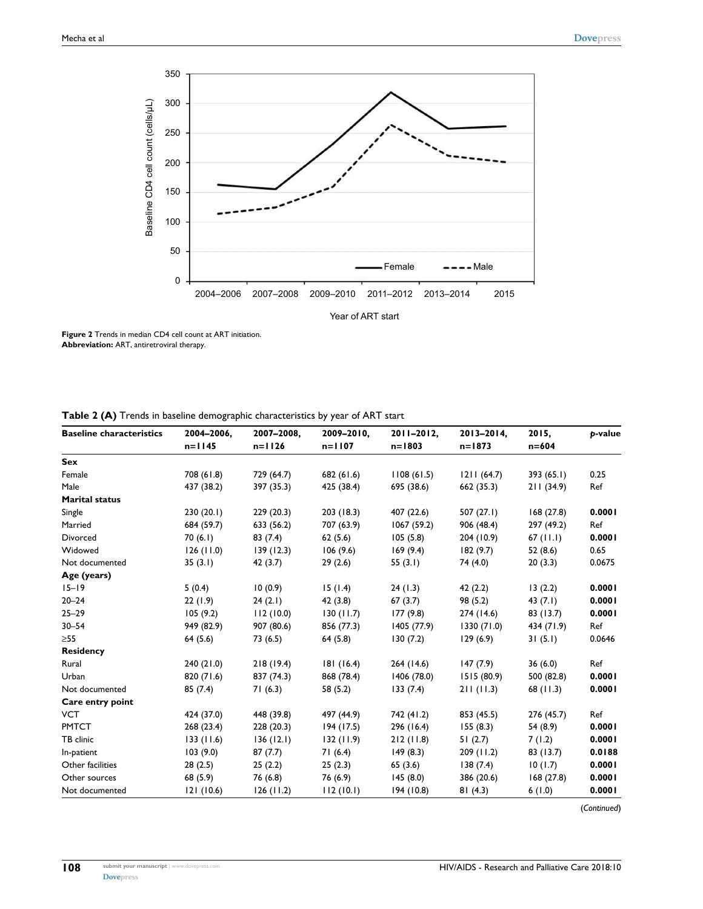

**Figure 2** Trends in median CD4 cell count at ART initiation. **Abbreviation:** ART, antiretroviral therapy.

|  | Table 2 (A) Trends in baseline demographic characteristics by year of ART start |  |  |  |  |  |
|--|---------------------------------------------------------------------------------|--|--|--|--|--|
|--|---------------------------------------------------------------------------------|--|--|--|--|--|

| <b>Baseline characteristics</b> | 2004-2006,<br>$n=1145$ | 2007-2008.<br>$n = 1126$ | 2009-2010,<br>$n = 1107$ | 2011-2012,<br>$n = 1803$ | 2013-2014,<br>$n = 1873$ | 2015,<br>$n = 604$ | <b>b-value</b> |
|---------------------------------|------------------------|--------------------------|--------------------------|--------------------------|--------------------------|--------------------|----------------|
| Sex                             |                        |                          |                          |                          |                          |                    |                |
| Female                          | 708 (61.8)             | 729 (64.7)               | 682(61.6)                | 1108(61.5)               | 1211(64.7)               | 393(65.1)          | 0.25           |
| Male                            | 437 (38.2)             | 397 (35.3)               | 425 (38.4)               | 695 (38.6)               | 662 (35.3)               | 211(34.9)          | Ref            |
| <b>Marital status</b>           |                        |                          |                          |                          |                          |                    |                |
| Single                          | 230(20.1)              | 229(20.3)                | 203 (18.3)               | 407 (22.6)               | 507 $(27.1)$             | 168(27.8)          | 0.0001         |
| Married                         | 684 (59.7)             | 633 (56.2)               | 707 (63.9)               | 1067(59.2)               | 906 (48.4)               | 297 (49.2)         | Ref            |
| Divorced                        | 70(6.1)                | 83(7.4)                  | 62(5.6)                  | 105(5.8)                 | 204 (10.9)               | $67$ (11.1)        | 0.0001         |
| Widowed                         | 126(11.0)              | 139(12.3)                | 106(9.6)                 | 169(9.4)                 | 182(9.7)                 | 52(8.6)            | 0.65           |
| Not documented                  | 35(3.1)                | 42(3.7)                  | 29(2.6)                  | 55 $(3.1)$               | 74 (4.0)                 | 20(3.3)            | 0.0675         |
| Age (years)                     |                        |                          |                          |                          |                          |                    |                |
| $15 - 19$                       | 5(0.4)                 | 10(0.9)                  | 15(1.4)                  | 24(1.3)                  | 42(2.2)                  | 13(2.2)            | 0.0001         |
| $20 - 24$                       | 22(1.9)                | 24(2.1)                  | 42(3.8)                  | 67(3.7)                  | 98 (5.2)                 | 43 $(7.1)$         | 0.0001         |
| $25 - 29$                       | 105(9.2)               | 112(10.0)                | 130(11.7)                | 177(9.8)                 | 274 (14.6)               | 83 (13.7)          | 0.0001         |
| $30 - 54$                       | 949 (82.9)             | 907 (80.6)               | 856 (77.3)               | 1405 (77.9)              | 1330(71.0)               | 434 (71.9)         | Ref            |
| $\geq 55$                       | 64(5.6)                | 73 (6.5)                 | 64(5.8)                  | 130(7.2)                 | 129(6.9)                 | 31(5.1)            | 0.0646         |
| <b>Residency</b>                |                        |                          |                          |                          |                          |                    |                |
| Rural                           | 240(21.0)              | 218(19.4)                | 181(16.4)                | 264 (14.6)               | 147(7.9)                 | 36(6.0)            | Ref            |
| Urban                           | 820 (71.6)             | 837 (74.3)               | 868 (78.4)               | 1406 (78.0)              | 1515(80.9)               | 500 (82.8)         | 0.0001         |
| Not documented                  | 85(7.4)                | 71(6.3)                  | 58 (5.2)                 | 133(7.4)                 | 211(11.3)                | 68(11.3)           | 0.0001         |
| Care entry point                |                        |                          |                          |                          |                          |                    |                |
| <b>VCT</b>                      | 424 (37.0)             | 448 (39.8)               | 497 (44.9)               | 742 (41.2)               | 853 (45.5)               | 276 (45.7)         | Ref            |
| <b>PMTCT</b>                    | 268 (23.4)             | 228 (20.3)               | 194(17.5)                | 296 (16.4)               | 155(8.3)                 | 54 (8.9)           | 0.0001         |
| TB clinic                       | 133(11.6)              | 136(12.1)                | 132(11.9)                | 212(11.8)                | 51(2.7)                  | 7(1.2)             | 0.0001         |
| In-patient                      | 103(9.0)               | 87(7.7)                  | 71(6.4)                  | 149(8.3)                 | 209(11.2)                | 83 (13.7)          | 0.0188         |
| Other facilities                | 28(2.5)                | 25(2.2)                  | 25(2.3)                  | 65(3.6)                  | 138(7.4)                 | 10(1.7)            | 0.0001         |
| Other sources                   | 68 (5.9)               | 76 (6.8)                 | 76 (6.9)                 | 145(8.0)                 | 386 (20.6)               | 168(27.8)          | 0.0001         |
| Not documented                  | 121(10.6)              | 126(11.2)                | 112(10.1)                | 194(10.8)                | 81(4.3)                  | 6(1.0)             | 0.0001         |

(*Continued*)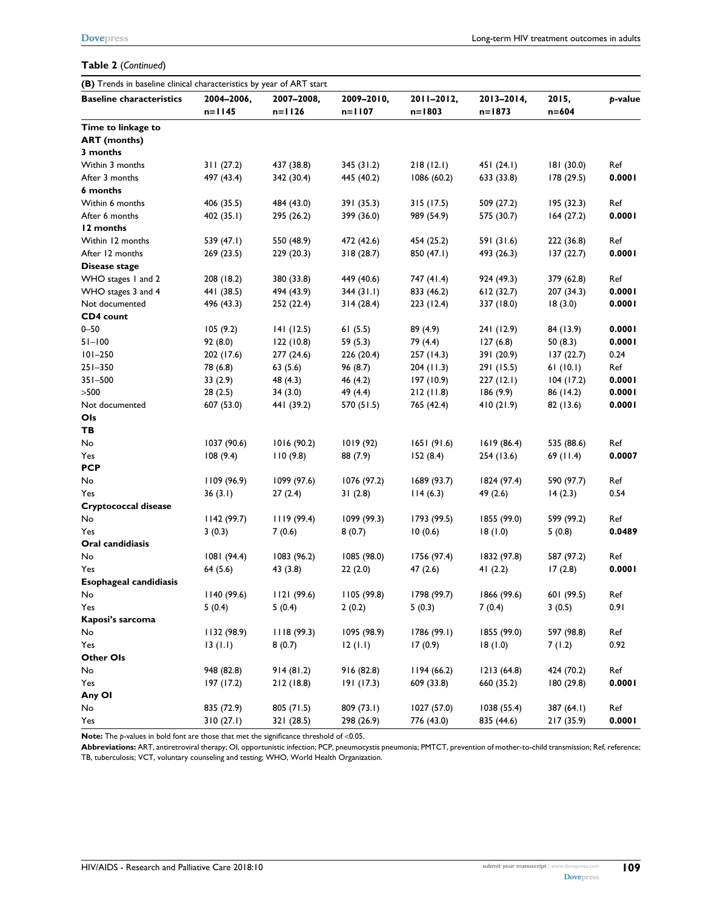#### **Table 2** (*Continued*)

| (B) Trends in baseline clinical characteristics by year of ART start |             |             |             |             |             |            |         |
|----------------------------------------------------------------------|-------------|-------------|-------------|-------------|-------------|------------|---------|
| <b>Baseline characteristics</b>                                      | 2004-2006,  | 2007-2008,  | 2009-2010,  | 2011-2012,  | 2013-2014,  | 2015,      | p-value |
|                                                                      | $n=1145$    | $n=1126$    | $n = 1107$  | $n = 1803$  | $n = 1873$  | $n = 604$  |         |
| Time to linkage to                                                   |             |             |             |             |             |            |         |
| <b>ART</b> (months)                                                  |             |             |             |             |             |            |         |
| 3 months                                                             |             |             |             |             |             |            |         |
| Within 3 months                                                      | 311(27.2)   | 437 (38.8)  | 345(31.2)   | 218(12.1)   | 451(24.1)   | 181 (30.0) | Ref     |
| After 3 months                                                       | 497 (43.4)  | 342 (30.4)  | 445 (40.2)  | 1086 (60.2) | 633 (33.8)  | 178 (29.5) | 0.0001  |
| 6 months                                                             |             |             |             |             |             |            |         |
| Within 6 months                                                      | 406 (35.5)  | 484 (43.0)  | 391 (35.3)  | 315(17.5)   | 509 (27.2)  | 195 (32.3) | Ref     |
| After 6 months                                                       | 402(35.1)   | 295 (26.2)  | 399 (36.0)  | 989 (54.9)  | 575 (30.7)  | 164(27.2)  | 0.0001  |
| 12 months                                                            |             |             |             |             |             |            |         |
| Within 12 months                                                     | 539 (47.1)  | 550 (48.9)  | 472 (42.6)  | 454 (25.2)  | 591 (31.6)  | 222 (36.8) | Ref     |
| After 12 months                                                      | 269(23.5)   | 229(20.3)   | 318(28.7)   | 850 (47.1)  | 493 (26.3)  | 137(22.7)  | 0.0001  |
| Disease stage                                                        |             |             |             |             |             |            |         |
| WHO stages 1 and 2                                                   | 208 (18.2)  | 380 (33.8)  | 449 (40.6)  | 747 (41.4)  | 924 (49.3)  | 379 (62.8) | Ref     |
| WHO stages 3 and 4                                                   | 441 (38.5)  | 494 (43.9)  | 344(31.1)   | 833 (46.2)  | 612(32.7)   | 207 (34.3) | 0.0001  |
| Not documented                                                       | 496 (43.3)  | 252 (22.4)  | 314(28.4)   | 223(12.4)   | 337 (18.0)  | 18(3.0)    | 0.0001  |
| CD4 count                                                            |             |             |             |             |             |            |         |
| $0 - 50$                                                             | 105(9.2)    | 141(12.5)   | 61(5.5)     | 89 (4.9)    | 241 (12.9)  | 84 (13.9)  | 0.0001  |
| $51 - 100$                                                           | 92(8.0)     | 122(10.8)   | 59(5.3)     | 79 (4.4)    | 127(6.8)    | 50(8.3)    | 0.0001  |
| $101 - 250$                                                          | 202 (17.6)  | 277 (24.6)  | 226 (20.4)  | 257 (14.3)  | 391 (20.9)  | 137(22.7)  | 0.24    |
| $251 - 350$                                                          | 78 (6.8)    | 63(5.6)     | 96 (8.7)    | 204(11.3)   | 291 (15.5)  | 61(10.1)   | Ref     |
| $351 - 500$                                                          | 33(2.9)     | 48 (4.3)    | 46 (4.2)    | 197(10.9)   | 227(12.1)   | 104(17.2)  | 0.0001  |
| >500                                                                 | 28(2.5)     | 34(3.0)     | 49 (4.4)    | 212(11.8)   | 186(9.9)    | 86 (14.2)  | 0.0001  |
| Not documented                                                       | 607 (53.0)  | 441 (39.2)  | 570 (51.5)  | 765 (42.4)  | 410(21.9)   | 82 (13.6)  | 0.0001  |
| Ols                                                                  |             |             |             |             |             |            |         |
| TВ                                                                   |             |             |             |             |             |            |         |
| No                                                                   | 1037 (90.6) | 1016 (90.2) | 1019 (92)   | 1651(91.6)  | 1619 (86.4) | 535 (88.6) | Ref     |
| Yes                                                                  | 108(9.4)    | 110(9.8)    | 88 (7.9)    | 152(8.4)    | 254 (13.6)  | 69(11.4)   | 0.0007  |
| <b>PCP</b>                                                           |             |             |             |             |             |            |         |
| No                                                                   | 1109 (96.9) | 1099 (97.6) | 1076 (97.2) | 1689 (93.7) | 1824 (97.4) | 590 (97.7) | Ref     |
| Yes                                                                  | 36(3.1)     | 27(2.4)     | 31(2.8)     | 114(6.3)    | 49 (2.6)    | 14(2.3)    | 0.54    |
| Cryptococcal disease                                                 |             |             |             |             |             |            |         |
| No                                                                   | 1142(99.7)  | 1119(99.4)  | 1099 (99.3) | 1793 (99.5) | 1855 (99.0) | 599 (99.2) | Ref     |
| Yes                                                                  | 3(0.3)      | 7(0.6)      | 8(0.7)      | 10(0.6)     | 18(1.0)     | 5(0.8)     | 0.0489  |
| Oral candidiasis                                                     |             |             |             |             |             |            |         |
| No                                                                   | 1081 (94.4) | 1083 (96.2) | 1085 (98.0) | 1756 (97.4) | 1832 (97.8) | 587 (97.2) | Ref     |
| Yes                                                                  | 64 (5.6)    | 43 (3.8)    | 22(2.0)     | 47(2.6)     | 41 $(2.2)$  | 17(2.8)    | 0.0001  |
| <b>Esophageal candidiasis</b>                                        |             |             |             |             |             |            |         |
| No                                                                   | 1140 (99.6) | 1121 (99.6) | 1105(99.8)  | 1798 (99.7) | 1866 (99.6) | 601 (99.5) | Ref     |
| Yes                                                                  | 5(0.4)      | 5(0.4)      | 2(0.2)      | 5(0.3)      | 7(0.4)      | 3(0.5)     | 0.91    |
| Kaposi's sarcoma                                                     |             |             |             |             |             |            |         |
| No                                                                   | 1132 (98.9) | 1118(99.3)  | 1095 (98.9) | 1786 (99.1) | 1855 (99.0) | 597 (98.8) | Ref     |
| Yes                                                                  | 13(1.1)     | 8(0.7)      | 12(1.1)     | 17(0.9)     | 18(1.0)     | 7(1.2)     | 0.92    |
| Other Ols                                                            |             |             |             |             |             |            |         |
| No                                                                   | 948 (82.8)  | 914(81.2)   | 916 (82.8)  | 1194 (66.2) | 1213(64.8)  | 424 (70.2) | Ref     |
| Yes                                                                  | 197 (17.2)  | 212 (18.8)  | 191(17.3)   | 609 (33.8)  | 660 (35.2)  | 180 (29.8) | 0.0001  |
| Any OI                                                               |             |             |             |             |             |            |         |
| No                                                                   | 835 (72.9)  | 805 (71.5)  | 809 (73.1)  | 1027 (57.0) | 1038 (55.4) | 387 (64.1) | Ref     |
| Yes                                                                  | 310(27.1)   | 321 (28.5)  | 298 (26.9)  | 776 (43.0)  | 835 (44.6)  | 217 (35.9) | 0.0001  |

**Note:** The *p*-values in bold font are those that met the significance threshold of <0.05.

**Abbreviations:** ART, antiretroviral therapy; OI, opportunistic infection; PCP, pneumocystis pneumonia; PMTCT, prevention of mother-to-child transmission; Ref, reference; TB, tuberculosis; VCT, voluntary counseling and testing; WHO, World Health Organization.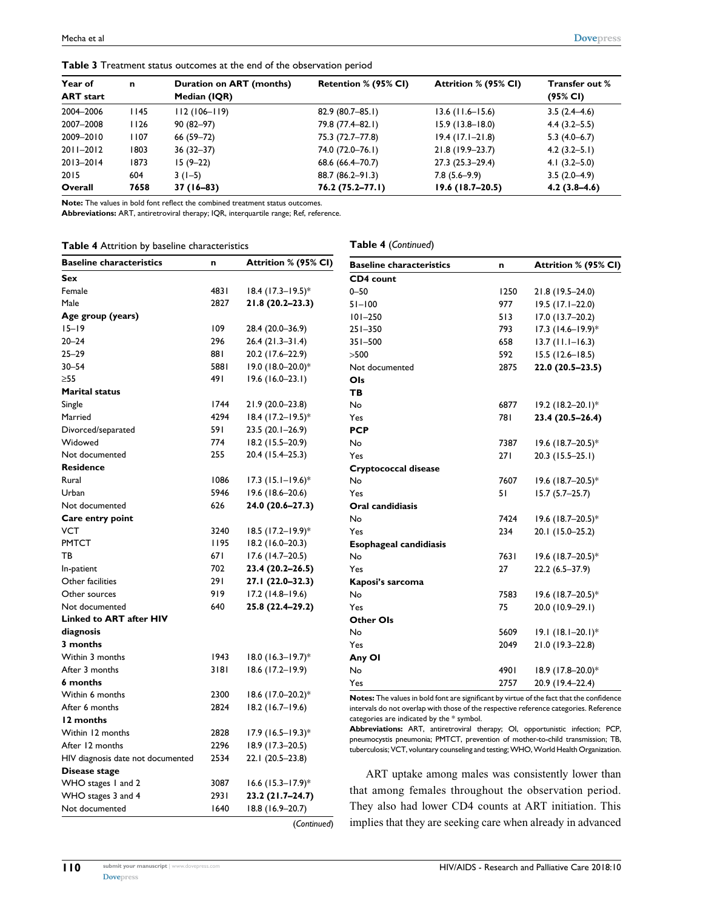| Year of          | n     | Duration on ART (months) | Retention % (95% CI) | Attrition % (95% CI) | <b>Transfer out %</b> |
|------------------|-------|--------------------------|----------------------|----------------------|-----------------------|
| <b>ART</b> start |       | Median (IQR)             |                      |                      | $(95\% \, \text{Cl})$ |
| 2004-2006        | l 145 | $112(106 - 119)$         | $82.9(80.7 - 85.1)$  | $13.6$ (11.6–15.6)   | $3.5(2.4-4.6)$        |
| 2007-2008        | 1126  | $90(82 - 97)$            | 79.8 (77.4-82.1)     | $15.9(13.8 - 18.0)$  | $4.4(3.2 - 5.5)$      |
| 2009-2010        | 1107  | 66 (59-72)               | 75.3 (72.7-77.8)     | $19.4$ (17.1-21.8)   | $5.3(4.0-6.7)$        |
| 2011-2012        | 1803  | $36(32 - 37)$            | 74.0 (72.0–76.1)     | 21.8 (19.9–23.7)     | $4.2(3.2-5.1)$        |
| 2013-2014        | 1873  | $15(9-22)$               | 68.6 (66.4–70.7)     | $27.3(25.3-29.4)$    | $4.1(3.2 - 5.0)$      |
| 2015             | 604   | $3(1-5)$                 | $88.7(86.2 - 91.3)$  | $7.8(5.6-9.9)$       | $3.5(2.0-4.9)$        |
| Overall          | 7658  | $37(16-83)$              | $76.2(75.2 - 77.1)$  | $19.6(18.7-20.5)$    | $4.2(3.8-4.6)$        |

**Table 3** Treatment status outcomes at the end of the observation period

**Note:** The values in bold font reflect the combined treatment status outcomes.

**Abbreviations:** ART, antiretroviral therapy; IQR, interquartile range; Ref, reference.

| Table 4 Attrition by baseline characteristics |  |  |
|-----------------------------------------------|--|--|
|-----------------------------------------------|--|--|

**Table 4** (*Continued*)

| <b>Baseline characteristics</b>   | n    | Attrition % (95% CI)            | <b>Baseline characteristics</b>                                                                                                                                        | n    | Attrition % (95% CI)            |
|-----------------------------------|------|---------------------------------|------------------------------------------------------------------------------------------------------------------------------------------------------------------------|------|---------------------------------|
| Sex                               |      |                                 | CD4 count                                                                                                                                                              |      |                                 |
| Female                            | 4831 | $18.4$ (17.3–19.5)*             | $0 - 50$                                                                                                                                                               | 1250 | 21.8 (19.5-24.0)                |
| Male                              | 2827 | 21.8 (20.2-23.3)                | $51 - 100$                                                                                                                                                             | 977  | $19.5$ (17.1-22.0)              |
| Age group (years)                 |      |                                 | $101 - 250$                                                                                                                                                            | 513  | $17.0(13.7-20.2)$               |
| $15 - 19$                         | 109  | 28.4 (20.0–36.9)                | $251 - 350$                                                                                                                                                            | 793  | $17.3$ (14.6–19.9)*             |
| $20 - 24$                         | 296  | $26.4(21.3-31.4)$               | $351 - 500$                                                                                                                                                            | 658  | $13.7$ (11.1–16.3)              |
| $25 - 29$                         | 881  | 20.2 (17.6-22.9)                | >500                                                                                                                                                                   | 592  | $15.5(12.6 - 18.5)$             |
| $30 - 54$                         | 5881 | 19.0 (18.0-20.0)*               | Not documented                                                                                                                                                         | 2875 | $22.0(20.5-23.5)$               |
| >55                               | 491  | $19.6(16.0-23.1)$               | Ols                                                                                                                                                                    |      |                                 |
| <b>Marital status</b>             |      |                                 | TB                                                                                                                                                                     |      |                                 |
| Single                            | 1744 | 21.9 (20.0-23.8)                | No                                                                                                                                                                     | 6877 | $19.2 (18.2 - 20.1)^*$          |
| Married                           | 4294 | 18.4 (17.2-19.5)*               | Yes                                                                                                                                                                    | 781  | 23.4 (20.5–26.4)                |
| Divorced/separated                | 591  | $23.5(20.1 - 26.9)$             | <b>PCP</b>                                                                                                                                                             |      |                                 |
| Widowed                           | 774  | 18.2 (15.5–20.9)                | No                                                                                                                                                                     | 7387 | $19.6$ (18.7–20.5) <sup>*</sup> |
| Not documented                    | 255  | 20.4 (15.4–25.3)                | Yes                                                                                                                                                                    | 271  | $20.3$ (15.5–25.1)              |
| <b>Residence</b>                  |      |                                 | Cryptococcal disease                                                                                                                                                   |      |                                 |
| Rural                             | 1086 | $17.3$ (15.1–19.6)*             | No                                                                                                                                                                     | 7607 | $19.6$ (18.7–20.5) <sup>*</sup> |
| Urban                             | 5946 | $19.6(18.6 - 20.6)$             | Yes                                                                                                                                                                    | 51   | $15.7(5.7-25.7)$                |
| Not documented                    | 626  | 24.0 (20.6-27.3)                | Oral candidiasis                                                                                                                                                       |      |                                 |
| Care entry point                  |      |                                 | No                                                                                                                                                                     | 7424 | $19.6$ (18.7–20.5) <sup>*</sup> |
| VCT                               | 3240 | $18.5$ (17.2–19.9)*             | Yes                                                                                                                                                                    | 234  | 20.1 (15.0-25.2)                |
| <b>PMTCT</b>                      | 1195 | 18.2 (16.0-20.3)                | <b>Esophageal candidiasis</b>                                                                                                                                          |      |                                 |
| ТB                                | 671  | $17.6$ (14.7-20.5)              | No                                                                                                                                                                     | 7631 | $19.6$ (18.7–20.5) <sup>*</sup> |
| In-patient                        | 702  | 23.4 (20.2-26.5)                | Yes                                                                                                                                                                    | 27   | $22.2(6.5-37.9)$                |
| Other facilities                  | 291  | 27.1 (22.0-32.3)                | Kaposi's sarcoma                                                                                                                                                       |      |                                 |
| Other sources                     | 919  | $17.2(14.8-19.6)$               | No                                                                                                                                                                     | 7583 | $19.6$ (18.7–20.5) <sup>*</sup> |
| Not documented                    | 640  | 25.8 (22.4–29.2)                | Yes                                                                                                                                                                    | 75   | 20.0 (10.9-29.1)                |
| <b>Linked to ART after HIV</b>    |      |                                 | <b>Other Ols</b>                                                                                                                                                       |      |                                 |
| diagnosis                         |      |                                 | No                                                                                                                                                                     | 5609 | $19.1 (18.1 - 20.1)^*$          |
| 3 months                          |      |                                 | Yes                                                                                                                                                                    | 2049 | 21.0 (19.3-22.8)                |
| Within 3 months                   | 1943 | $18.0$ (16.3-19.7)*             | Any OI                                                                                                                                                                 |      |                                 |
| After 3 months                    | 3181 | $18.6$ (17.2-19.9)              | No                                                                                                                                                                     | 4901 | 18.9 (17.8-20.0)*               |
| 6 months                          |      |                                 | Yes                                                                                                                                                                    | 2757 | 20.9 (19.4–22.4)                |
| Within 6 months                   | 2300 | $18.6$ (17.0-20.2) <sup>*</sup> | <b>Notes:</b> The values in bold font are significant by virtue of the fact that the confidence                                                                        |      |                                 |
| After 6 months                    | 2824 | $18.2$ (16.7-19.6)              | intervals do not overlap with those of the respective reference categories. Reference                                                                                  |      |                                 |
| 12 months                         |      |                                 | categories are indicated by the * symbol.                                                                                                                              |      |                                 |
| Within 12 months                  | 2828 | $17.9$ (16.5-19.3)*             | Abbreviations: ART, antiretroviral therapy; OI, opportunistic infection; PCP,                                                                                          |      |                                 |
| After 12 months                   | 2296 | 18.9 (17.3–20.5)                | pneumocystis pneumonia; PMTCT, prevention of mother-to-child transmission; TB,<br>tuberculosis; VCT, voluntary counseling and testing; WHO, World Health Organization. |      |                                 |
| HIV diagnosis date not documented | 2534 | 22.1 (20.5-23.8)                |                                                                                                                                                                        |      |                                 |
| Disease stage                     |      |                                 | ART uptake among males was consistently lower than                                                                                                                     |      |                                 |
| WHO stages 1 and 2                | 3087 | $16.6$ (15.3–17.9) <sup>*</sup> |                                                                                                                                                                        |      |                                 |
| WHO stages 3 and 4                | 2931 | 23.2 (21.7–24.7)                | that among females throughout the observation period.                                                                                                                  |      |                                 |
| Not documented                    | 1640 | 18.8 (16.9-20.7)                | They also had lower CD4 counts at ART initiation. This                                                                                                                 |      |                                 |

(*Continued*)

**110**

**[Dovepress](www.dovepress.com)** 

implies that they are seeking care when already in advanced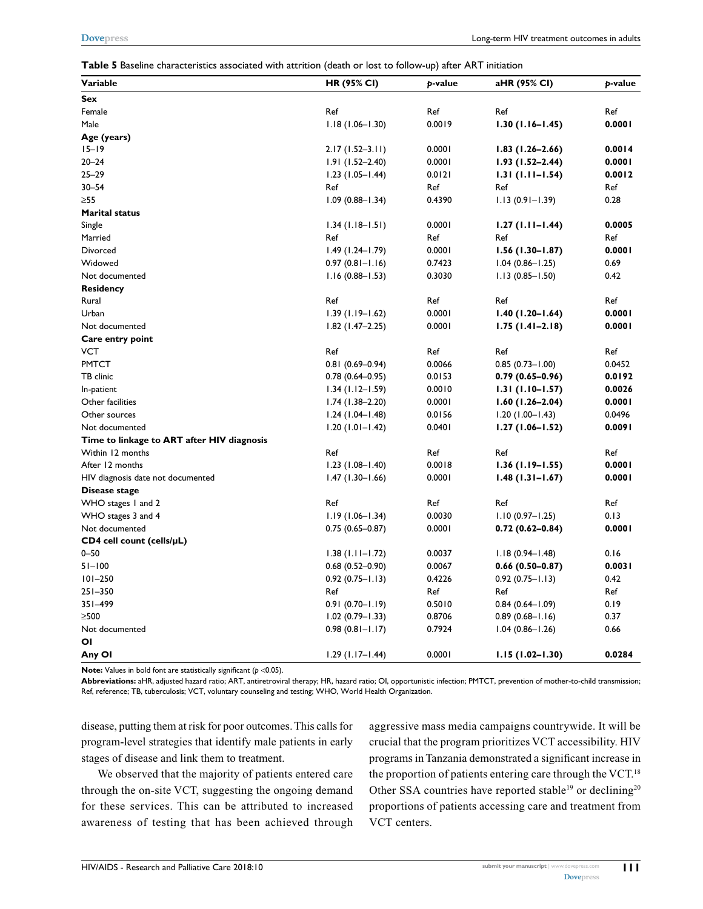| Table 5 Baseline characteristics associated with attrition (death or lost to follow-up) after ART initiation |  |
|--------------------------------------------------------------------------------------------------------------|--|
|--------------------------------------------------------------------------------------------------------------|--|

| <b>Variable</b>                            | <b>HR (95% CI)</b>  | p-value | aHR (95% CI)        | p-value |
|--------------------------------------------|---------------------|---------|---------------------|---------|
| Sex                                        |                     |         |                     |         |
| Female                                     | Ref                 | Ref     | Ref                 | Ref     |
| Male                                       | $1.18(1.06 - 1.30)$ | 0.0019  | $1.30(1.16 - 1.45)$ | 0.0001  |
| Age (years)                                |                     |         |                     |         |
| $15 - 19$                                  | $2.17(1.52 - 3.11)$ | 0.0001  | $1.83(1.26 - 2.66)$ | 0.0014  |
| $20 - 24$                                  | $1.91(1.52 - 2.40)$ | 0.0001  | $1.93(1.52 - 2.44)$ | 0.0001  |
| $25 - 29$                                  | $1.23(1.05 - 1.44)$ | 0.0121  | $1.31(1.11 - 1.54)$ | 0.0012  |
| $30 - 54$                                  | Ref                 | Ref     | Ref                 | Ref     |
| >55                                        | $1.09(0.88 - 1.34)$ | 0.4390  | $1.13(0.91 - 1.39)$ | 0.28    |
| <b>Marital status</b>                      |                     |         |                     |         |
| Single                                     | $1.34$ (1.18–1.51)  | 0.0001  | $1.27(1.11 - 1.44)$ | 0.0005  |
| Married                                    | Ref                 | Ref     | Ref                 | Ref     |
| Divorced                                   | $1.49(1.24 - 1.79)$ | 0.0001  | $1.56(1.30-1.87)$   | 0.0001  |
| Widowed                                    | $0.97(0.81 - 1.16)$ | 0.7423  | $1.04(0.86 - 1.25)$ | 0.69    |
| Not documented                             | $1.16(0.88 - 1.53)$ | 0.3030  | $1.13(0.85 - 1.50)$ | 0.42    |
| Residency                                  |                     |         |                     |         |
| Rural                                      | Ref                 | Ref     | Ref                 | Ref     |
| Urban                                      | $1.39(1.19 - 1.62)$ | 0.0001  | $1.40(1.20 - 1.64)$ | 0.0001  |
| Not documented                             | $1.82$ (1.47-2.25)  | 0.0001  | $1.75(1.41 - 2.18)$ | 0.0001  |
| Care entry point                           |                     |         |                     |         |
| VCT                                        | Ref                 | Ref     | Ref                 | Ref     |
| <b>PMTCT</b>                               | $0.81(0.69 - 0.94)$ | 0.0066  | $0.85(0.73 - 1.00)$ | 0.0452  |
| TB clinic                                  | $0.78(0.64 - 0.95)$ | 0.0153  | $0.79(0.65 - 0.96)$ | 0.0192  |
| In-patient                                 | $1.34(1.12 - 1.59)$ | 0.0010  | $1.31(1.10-1.57)$   | 0.0026  |
| Other facilities                           | $1.74(1.38-2.20)$   | 0.0001  | $1.60(1.26 - 2.04)$ | 0.0001  |
| Other sources                              | $1.24$ (1.04-1.48)  | 0.0156  | $1.20(1.00 - 1.43)$ | 0.0496  |
| Not documented                             | $1.20(1.01 - 1.42)$ | 0.0401  | $1.27(1.06 - 1.52)$ | 0.0091  |
| Time to linkage to ART after HIV diagnosis |                     |         |                     |         |
| Within 12 months                           | Ref                 | Ref     | Ref                 | Ref     |
| After 12 months                            | $1.23(1.08 - 1.40)$ | 0.0018  | $1.36(1.19 - 1.55)$ | 0.0001  |
| HIV diagnosis date not documented          | $1.47(1.30 - 1.66)$ | 0.0001  | $1.48(1.31 - 1.67)$ | 0.0001  |
| Disease stage                              |                     |         |                     |         |
| WHO stages 1 and 2                         | Ref                 | Ref     | Ref                 | Ref     |
| WHO stages 3 and 4                         | $1.19(1.06 - 1.34)$ | 0.0030  | $1.10(0.97 - 1.25)$ | 0.13    |
| Not documented                             | $0.75(0.65 - 0.87)$ | 0.0001  | $0.72(0.62 - 0.84)$ | 0.0001  |
| $CD4$ cell count (cells/ $\mu$ L)          |                     |         |                     |         |
| $0 - 50$                                   | $1.38(1.11 - 1.72)$ | 0.0037  | $1.18(0.94 - 1.48)$ | 0.16    |
| $51 - 100$                                 | $0.68(0.52 - 0.90)$ | 0.0067  | $0.66(0.50-0.87)$   | 0.0031  |
| $101 - 250$                                | $0.92(0.75 - 1.13)$ | 0.4226  | $0.92(0.75 - 1.13)$ | 0.42    |
| $251 - 350$                                | Ref                 | Ref     | Ref                 | Ref     |
| 351-499                                    | $0.91(0.70 - 1.19)$ | 0.5010  | $0.84(0.64 - 1.09)$ | 0.19    |
| $\geq$ 500                                 | $1.02(0.79 - 1.33)$ | 0.8706  | $0.89(0.68 - 1.16)$ | 0.37    |
| Not documented                             | $0.98(0.81 - 1.17)$ | 0.7924  | $1.04(0.86 - 1.26)$ | 0.66    |
| ΟI                                         |                     |         |                     |         |
| Any Ol                                     | $1.29(1.17 - 1.44)$ | 0.0001  | $1.15(1.02 - 1.30)$ | 0.0284  |

**Note:** Values in bold font are statistically significant ( $p < 0.05$ ).

**Abbreviations:** aHR, adjusted hazard ratio; ART, antiretroviral therapy; HR, hazard ratio; OI, opportunistic infection; PMTCT, prevention of mother-to-child transmission; Ref, reference; TB, tuberculosis; VCT, voluntary counseling and testing; WHO, World Health Organization.

disease, putting them at risk for poor outcomes. This calls for program-level strategies that identify male patients in early stages of disease and link them to treatment.

We observed that the majority of patients entered care through the on-site VCT, suggesting the ongoing demand for these services. This can be attributed to increased awareness of testing that has been achieved through

aggressive mass media campaigns countrywide. It will be crucial that the program prioritizes VCT accessibility. HIV programs in Tanzania demonstrated a significant increase in the proportion of patients entering care through the VCT.<sup>18</sup> Other SSA countries have reported stable<sup>19</sup> or declining<sup>20</sup> proportions of patients accessing care and treatment from VCT centers.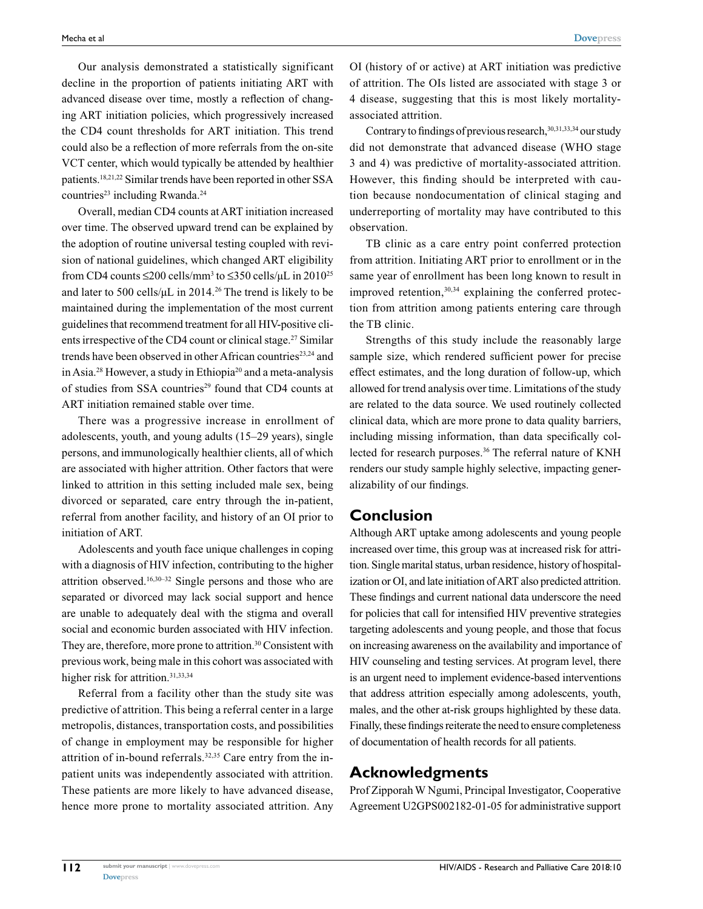Our analysis demonstrated a statistically significant decline in the proportion of patients initiating ART with advanced disease over time, mostly a reflection of changing ART initiation policies, which progressively increased the CD4 count thresholds for ART initiation. This trend could also be a reflection of more referrals from the on-site VCT center, which would typically be attended by healthier patients.18,21,22 Similar trends have been reported in other SSA countries<sup>23</sup> including Rwanda.<sup>24</sup>

Overall, median CD4 counts at ART initiation increased over time. The observed upward trend can be explained by the adoption of routine universal testing coupled with revision of national guidelines, which changed ART eligibility from CD4 counts  $\leq$ 200 cells/mm<sup>3</sup> to  $\leq$ 350 cells/ $\mu$ L in 2010<sup>25</sup> and later to 500 cells/ $\mu$ L in 2014.<sup>26</sup> The trend is likely to be maintained during the implementation of the most current guidelines that recommend treatment for all HIV-positive clients irrespective of the CD4 count or clinical stage.<sup>27</sup> Similar trends have been observed in other African countries<sup>23,24</sup> and in Asia.28 However, a study in Ethiopia20 and a meta-analysis of studies from SSA countries<sup>29</sup> found that CD4 counts at ART initiation remained stable over time.

There was a progressive increase in enrollment of adolescents, youth, and young adults (15–29 years), single persons, and immunologically healthier clients, all of which are associated with higher attrition. Other factors that were linked to attrition in this setting included male sex, being divorced or separated, care entry through the in-patient, referral from another facility, and history of an OI prior to initiation of ART.

Adolescents and youth face unique challenges in coping with a diagnosis of HIV infection, contributing to the higher attrition observed.16,30–32 Single persons and those who are separated or divorced may lack social support and hence are unable to adequately deal with the stigma and overall social and economic burden associated with HIV infection. They are, therefore, more prone to attrition.<sup>30</sup> Consistent with previous work, being male in this cohort was associated with higher risk for attrition.<sup>31,33,34</sup>

Referral from a facility other than the study site was predictive of attrition. This being a referral center in a large metropolis, distances, transportation costs, and possibilities of change in employment may be responsible for higher attrition of in-bound referrals.32,35 Care entry from the inpatient units was independently associated with attrition. These patients are more likely to have advanced disease, hence more prone to mortality associated attrition. Any OI (history of or active) at ART initiation was predictive of attrition. The OIs listed are associated with stage 3 or 4 disease, suggesting that this is most likely mortalityassociated attrition.

Contrary to findings of previous research, 30,31,33,34 our study did not demonstrate that advanced disease (WHO stage 3 and 4) was predictive of mortality-associated attrition. However, this finding should be interpreted with caution because nondocumentation of clinical staging and underreporting of mortality may have contributed to this observation.

TB clinic as a care entry point conferred protection from attrition. Initiating ART prior to enrollment or in the same year of enrollment has been long known to result in improved retention, $30,34$  explaining the conferred protection from attrition among patients entering care through the TB clinic.

Strengths of this study include the reasonably large sample size, which rendered sufficient power for precise effect estimates, and the long duration of follow-up, which allowed for trend analysis over time. Limitations of the study are related to the data source. We used routinely collected clinical data, which are more prone to data quality barriers, including missing information, than data specifically collected for research purposes.<sup>36</sup> The referral nature of KNH renders our study sample highly selective, impacting generalizability of our findings.

#### **Conclusion**

Although ART uptake among adolescents and young people increased over time, this group was at increased risk for attrition. Single marital status, urban residence, history of hospitalization or OI, and late initiation of ART also predicted attrition. These findings and current national data underscore the need for policies that call for intensified HIV preventive strategies targeting adolescents and young people, and those that focus on increasing awareness on the availability and importance of HIV counseling and testing services. At program level, there is an urgent need to implement evidence-based interventions that address attrition especially among adolescents, youth, males, and the other at-risk groups highlighted by these data. Finally, these findings reiterate the need to ensure completeness of documentation of health records for all patients.

#### **Acknowledgments**

Prof Zipporah W Ngumi, Principal Investigator, Cooperative Agreement U2GPS002182-01-05 for administrative support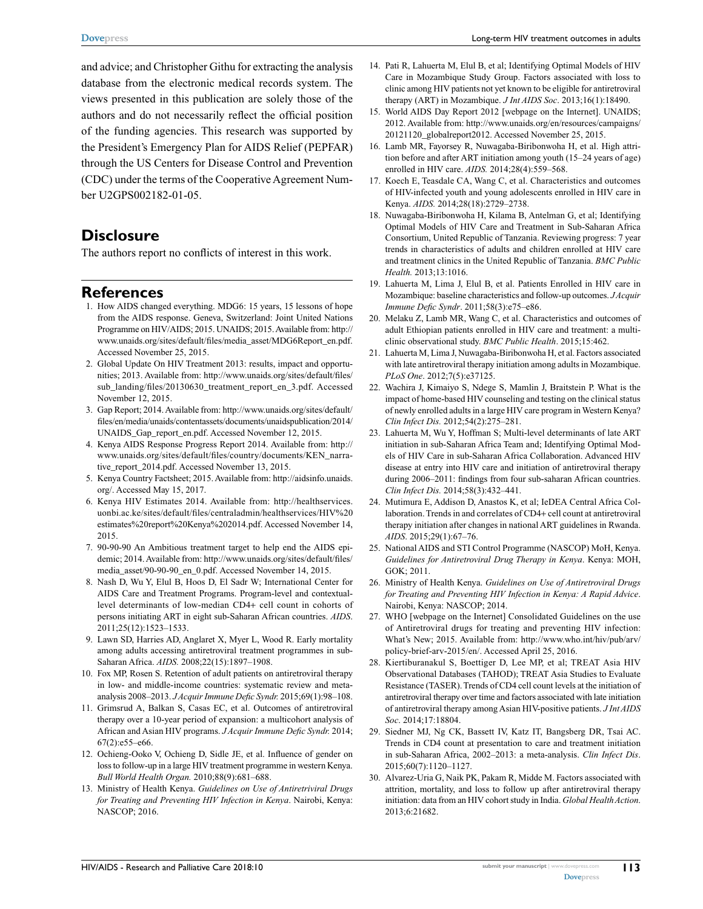and advice; and Christopher Githu for extracting the analysis database from the electronic medical records system. The views presented in this publication are solely those of the authors and do not necessarily reflect the official position of the funding agencies. This research was supported by the President's Emergency Plan for AIDS Relief (PEPFAR) through the US Centers for Disease Control and Prevention (CDC) under the terms of the Cooperative Agreement Number U2GPS002182-01-05.

# **Disclosure**

The authors report no conflicts of interest in this work.

### **References**

- 1. How AIDS changed everything. MDG6: 15 years, 15 lessons of hope from the AIDS response. Geneva, Switzerland: Joint United Nations Programme on HIV/AIDS; 2015. UNAIDS; 2015. Available from: [http://](http://www.unaids.org/sites/default/files/media_asset/MDG6Report_en.pdf.%20Accessed%20November%2025) [www.unaids.org/sites/default/files/media\\_asset/MDG6Report\\_en.pdf.](http://www.unaids.org/sites/default/files/media_asset/MDG6Report_en.pdf.%20Accessed%20November%2025) [Accessed November 25](http://www.unaids.org/sites/default/files/media_asset/MDG6Report_en.pdf.%20Accessed%20November%2025), 2015.
- 2. Global Update On HIV Treatment 2013: results, impact and opportunities; 2013. Available from: http://www.unaids.org/sites/default/files/ sub\_landing/files/20130630\_treatment\_report\_en\_3.pdf. Accessed November 12, 2015.
- 3. Gap Report; 2014. Available from: http://www.unaids.org/sites/default/ files/en/media/unaids/contentassets/documents/unaidspublication/2014/ UNAIDS\_Gap\_report\_en.pdf. Accessed November 12, 2015.
- 4. Kenya AIDS Response Progress Report 2014. Available from: http:// www.unaids.org/sites/default/files/country/documents/KEN\_narrative\_report\_2014.pdf. Accessed November 13, 2015.
- 5. Kenya Country Factsheet; 2015. Available from: http://aidsinfo.unaids. org/. Accessed May 15, 2017.
- 6. Kenya HIV Estimates 2014. Available from: http://healthservices. uonbi.ac.ke/sites/default/files/centraladmin/healthservices/HIV%20 estimates%20report%20Kenya%202014.pdf. Accessed November 14, 2015.
- 7. 90-90-90 An Ambitious treatment target to help end the AIDS epidemic; 2014. Available from: http://www.unaids.org/sites/default/files/ media\_asset/90-90-90\_en\_0.pdf. Accessed November 14, 2015.
- 8. Nash D, Wu Y, Elul B, Hoos D, El Sadr W; [International Center for](https://www.ncbi.nlm.nih.gov/pubmed/?term=International%20Center%20for%20AIDS%20Care%20and%20Treatment%20Programs%5BCorporate%20Author%5D) [AIDS Care and Treatment Programs](https://www.ncbi.nlm.nih.gov/pubmed/?term=International%20Center%20for%20AIDS%20Care%20and%20Treatment%20Programs%5BCorporate%20Author%5D). Program-level and contextuallevel determinants of low-median CD4+ cell count in cohorts of persons initiating ART in eight sub-Saharan African countries. *AIDS*. 2011;25(12):1523–1533.
- 9. Lawn SD, Harries AD, Anglaret X, Myer L, Wood R. Early mortality among adults accessing antiretroviral treatment programmes in sub-Saharan Africa. *AIDS.* 2008;22(15):1897–1908.
- 10. Fox MP, Rosen S. Retention of adult patients on antiretroviral therapy in low- and middle-income countries: systematic review and metaanalysis 2008–2013. *J Acquir Immune Defic Syndr.* 2015;69(1):98–108.
- 11. Grimsrud A, Balkan S, Casas EC, et al. Outcomes of antiretroviral therapy over a 10-year period of expansion: a multicohort analysis of African and Asian HIV programs. *J Acquir Immune Defic Syndr.* 2014; 67(2):e55–e66.
- 12. Ochieng-Ooko V, Ochieng D, Sidle JE, et al. Influence of gender on loss to follow-up in a large HIV treatment programme in western Kenya. *Bull World Health Organ.* 2010;88(9):681–688.
- 13. Ministry of Health Kenya. *Guidelines on Use of Antiretriviral Drugs for Treating and Preventing HIV Infection in Kenya*. Nairobi, Kenya: NASCOP; 2016.
- 14. Pati R, Lahuerta M, Elul B, et al; [Identifying Optimal Models of HIV](https://www.ncbi.nlm.nih.gov/pubmed/?term=Identifying%20Optimal%20Models%20of%20HIV%20Care%20in%20Mozambique%20Study%20Group%5BCorporate%20Author%5D) [Care in Mozambique Study Group](https://www.ncbi.nlm.nih.gov/pubmed/?term=Identifying%20Optimal%20Models%20of%20HIV%20Care%20in%20Mozambique%20Study%20Group%5BCorporate%20Author%5D). Factors associated with loss to clinic among HIV patients not yet known to be eligible for antiretroviral therapy (ART) in Mozambique. *J Int AIDS Soc*. 2013;16(1):18490.
- 15. World AIDS Day Report 2012 [webpage on the Internet]. UNAIDS; 2012. Available from: http://www.unaids.org/en/resources/campaigns/ 20121120\_globalreport2012. Accessed November 25, 2015.
- 16. Lamb MR, Fayorsey R, Nuwagaba-Biribonwoha H, et al. High attrition before and after ART initiation among youth (15–24 years of age) enrolled in HIV care. *AIDS.* 2014;28(4):559–568.
- 17. Koech E, Teasdale CA, Wang C, et al. Characteristics and outcomes of HIV-infected youth and young adolescents enrolled in HIV care in Kenya. *AIDS.* 2014;28(18):2729–2738.
- 18. Nuwagaba-Biribonwoha H, Kilama B, Antelman G, et al; [Identifying](https://www.ncbi.nlm.nih.gov/pubmed/?term=Identifying%20Optimal%20Models%20of%20HIV%20Care%20and%20Treatment%20in%20Sub-Saharan%20Africa%20Consortium%2C%20United%20Republic%20of%20Tanzania%5BCorporate%20Author%5D) [Optimal Models of HIV Care and Treatment in Sub-Saharan Africa](https://www.ncbi.nlm.nih.gov/pubmed/?term=Identifying%20Optimal%20Models%20of%20HIV%20Care%20and%20Treatment%20in%20Sub-Saharan%20Africa%20Consortium%2C%20United%20Republic%20of%20Tanzania%5BCorporate%20Author%5D) [Consortium, United Republic of Tanzania.](https://www.ncbi.nlm.nih.gov/pubmed/?term=Identifying%20Optimal%20Models%20of%20HIV%20Care%20and%20Treatment%20in%20Sub-Saharan%20Africa%20Consortium%2C%20United%20Republic%20of%20Tanzania%5BCorporate%20Author%5D) Reviewing progress: 7 year trends in characteristics of adults and children enrolled at HIV care and treatment clinics in the United Republic of Tanzania. *BMC Public Health.* 2013;13:1016.
- 19. Lahuerta M, Lima J, Elul B, et al. Patients Enrolled in HIV care in Mozambique: baseline characteristics and follow-up outcomes. *J Acquir Immune Defic Syndr*. 2011;58(3):e75–e86.
- 20. Melaku Z, Lamb MR, Wang C, et al. Characteristics and outcomes of adult Ethiopian patients enrolled in HIV care and treatment: a multiclinic observational study. *BMC Public Health*. 2015;15:462.
- 21. Lahuerta M, Lima J, Nuwagaba-Biribonwoha H, et al. Factors associated with late antiretroviral therapy initiation among adults in Mozambique. *PLoS One*. 2012;7(5):e37125.
- 22. Wachira J, Kimaiyo S, Ndege S, Mamlin J, Braitstein P. What is the impact of home-based HIV counseling and testing on the clinical status of newly enrolled adults in a large HIV care program in Western Kenya? *Clin Infect Dis.* 2012;54(2):275–281.
- 23. Lahuerta M, Wu Y, Hoffman S; [Multi-level determinants of late ART](https://www.ncbi.nlm.nih.gov/pubmed/?term=Multi-level%20determinants%20of%20late%20ART%20initiation%20in%20sub-Saharan%20Africa%20Team%20and%5BCorporate%20Author%5D) [initiation in sub-Saharan Africa Team and;](https://www.ncbi.nlm.nih.gov/pubmed/?term=Multi-level%20determinants%20of%20late%20ART%20initiation%20in%20sub-Saharan%20Africa%20Team%20and%5BCorporate%20Author%5D) [Identifying Optimal Mod](https://www.ncbi.nlm.nih.gov/pubmed/?term=Identifying%20Optimal%20Models%20of%20HIV%20Care%20in%20sub-Saharan%20Africa%20Collaboration%5BCorporate%20Author%5D)[els of HIV Care in sub-Saharan Africa Collaboration.](https://www.ncbi.nlm.nih.gov/pubmed/?term=Identifying%20Optimal%20Models%20of%20HIV%20Care%20in%20sub-Saharan%20Africa%20Collaboration%5BCorporate%20Author%5D) Advanced HIV disease at entry into HIV care and initiation of antiretroviral therapy during 2006–2011: findings from four sub-saharan African countries. *Clin Infect Dis.* 2014;58(3):432–441.
- 24. Mutimura E, Addison D, Anastos K, et al; [IeDEA Central Africa Col](https://www.ncbi.nlm.nih.gov/pubmed/?term=IeDEA%20Central%20Africa%20Collaboration%5BCorporate%20Author%5D)[laboration](https://www.ncbi.nlm.nih.gov/pubmed/?term=IeDEA%20Central%20Africa%20Collaboration%5BCorporate%20Author%5D). Trends in and correlates of CD4+ cell count at antiretroviral therapy initiation after changes in national ART guidelines in Rwanda. *AIDS*. 2015;29(1):67–76.
- 25. National AIDS and STI Control Programme (NASCOP) MoH, Kenya. *Guidelines for Antiretroviral Drug Therapy in Kenya*. Kenya: MOH, GOK; 2011.
- 26. Ministry of Health Kenya. *Guidelines on Use of Antiretroviral Drugs for Treating and Preventing HIV Infection in Kenya: A Rapid Advice*. Nairobi, Kenya: NASCOP; 2014.
- 27. WHO [webpage on the Internet] Consolidated Guidelines on the use of Antiretroviral drugs for treating and preventing HIV infection: What's New; 2015. Available from: http://www.who.int/hiv/pub/arv/ policy-brief-arv-2015/en/. Accessed April 25, 2016.
- 28. Kiertiburanakul S, Boettiger D, Lee MP, et al; [TREAT Asia HIV](https://www.ncbi.nlm.nih.gov/pubmed/?term=TREAT%20Asia%20HIV%20Observational%20Databases%20(TAHOD)%5BCorporate%20Author%5D) [Observational Databases \(TAHOD\);](https://www.ncbi.nlm.nih.gov/pubmed/?term=TREAT%20Asia%20HIV%20Observational%20Databases%20(TAHOD)%5BCorporate%20Author%5D) [TREAT Asia Studies to Evaluate](https://www.ncbi.nlm.nih.gov/pubmed/?term=TREAT%20Asia%20Studies%20to%20Evaluate%20Resistance%20(TASER)%5BCorporate%20Author%5D) [Resistance \(TASER\).](https://www.ncbi.nlm.nih.gov/pubmed/?term=TREAT%20Asia%20Studies%20to%20Evaluate%20Resistance%20(TASER)%5BCorporate%20Author%5D) Trends of CD4 cell count levels at the initiation of antiretroviral therapy over time and factors associated with late initiation of antiretroviral therapy among Asian HIV-positive patients. *J Int AIDS Soc*. 2014;17:18804.
- 29. Siedner MJ, Ng CK, Bassett IV, Katz IT, Bangsberg DR, Tsai AC. Trends in CD4 count at presentation to care and treatment initiation in sub-Saharan Africa, 2002–2013: a meta-analysis. *Clin Infect Dis*. 2015;60(7):1120–1127.
- 30. Alvarez-Uria G, Naik PK, Pakam R, Midde M. Factors associated with attrition, mortality, and loss to follow up after antiretroviral therapy initiation: data from an HIV cohort study in India. *Global Health Action*. 2013;6:21682.